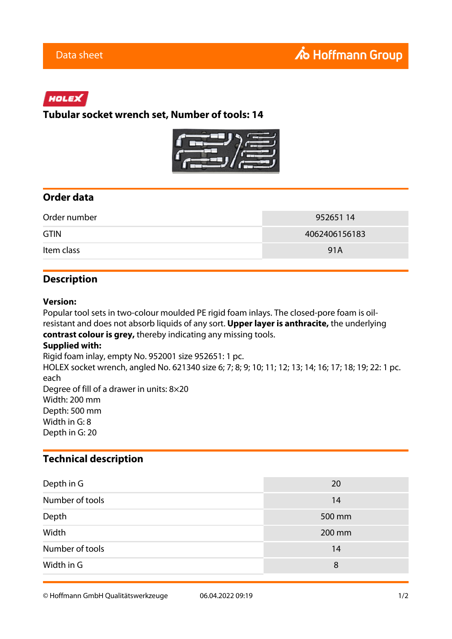# HOLEX

**Tubular socket wrench set, Number of tools: 14**



## **Order data**

| Order number | 95265114      |
|--------------|---------------|
| <b>GTIN</b>  | 4062406156183 |
| Item class   | 91A           |

## **Description**

#### **Version:**

Popular tool sets in two-colour moulded PE rigid foam inlays. The closed-pore foam is oilresistant and does not absorb liquids of any sort. **Upper layer is anthracite,** the underlying **contrast colour is grey,** thereby indicating any missing tools.

### **Supplied with:**

Rigid foam inlay, empty No. 952001 size 952651: 1 pc.

HOLEX socket wrench, angled No. 621340 size 6; 7; 8; 9; 10; 11; 12; 13; 14; 16; 17; 18; 19; 22: 1 pc. each Degree of fill of a drawer in units: 8×20 Width: 200 mm

Depth: 500 mm

Width in G: 8

Depth in G: 20

# **Technical description**

| Depth in G      | 20     |
|-----------------|--------|
| Number of tools | 14     |
| Depth           | 500 mm |
| Width           | 200 mm |
| Number of tools | 14     |
| Width in G      | 8      |

© Hoffmann GmbH Qualitätswerkzeuge 06.04.2022 09:19 1/2